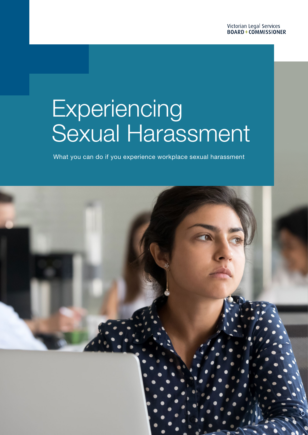# **Experiencing** Sexual Harassment

What you can do if you experience workplace sexual harassment

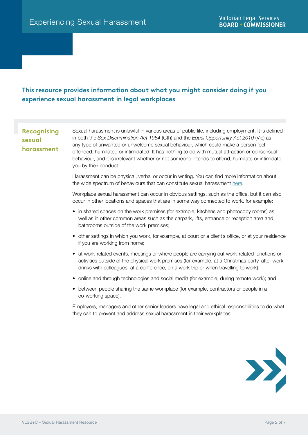# **This resource provides information about what you might consider doing if you experience sexual harassment in legal workplaces**

# **Recognising sexual harassment**

Sexual harassment is unlawful in various areas of public life, including employment. It is defined in both the *Sex Discrimination Act 1984* (Cth) and the *Equal Opportunity Act 2010* (Vic) as any type of unwanted or unwelcome sexual behaviour, which could make a person feel offended, humiliated or intimidated. It has nothing to do with mutual attraction or consensual behaviour, and it is irrelevant whether or not someone intends to offend, humiliate or intimidate you by their conduct.

Harassment can be physical, verbal or occur in writing. You can find more information about the wide spectrum of behaviours that can constitute sexual harassment [here](https://lsbc.vic.gov.au/lawyers/practising-law/sexual-harassment/workplace-sexual-harassment).

Workplace sexual harassment can occur in obvious settings, such as the office, but it can also occur in other locations and spaces that are in some way connected to work, for example:

- in shared spaces on the work premises (for example, kitchens and photocopy rooms) as well as in other common areas such as the carpark, lifts, entrance or reception area and bathrooms outside of the work premises;
- other settings in which you work, for example, at court or a client's office, or at your residence if you are working from home;
- at work-related events, meetings or where people are carrying out work-related functions or activities outside of the physical work premises (for example, at a Christmas party, after work drinks with colleagues, at a conference, on a work trip or when travelling to work);
- online and through technologies and social media (for example, during remote work); and
- between people sharing the same workplace (for example, contractors or people in a co-working space).

Employers, managers and other senior leaders have legal and ethical responsibilities to do what they can to prevent and address sexual harassment in their workplaces.

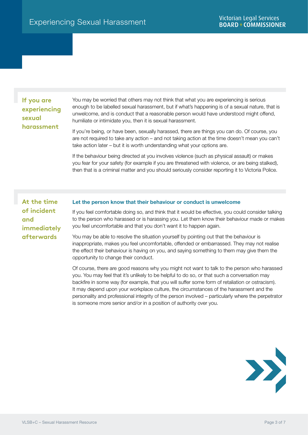# **If you are experiencing sexual harassment**

You may be worried that others may not think that what you are experiencing is serious enough to be labelled sexual harassment, but if what's happening is of a sexual nature, that is unwelcome, and is conduct that a reasonable person would have understood might offend, humiliate or intimidate you, then it is sexual harassment.

If you're being, or have been, sexually harassed, there are things you can do. Of course, you are not required to take any action – and not taking action at the time doesn't mean you can't take action later – but it is worth understanding what your options are.

If the behaviour being directed at you involves violence (such as physical assault) or makes you fear for your safety (for example if you are threatened with violence, or are being stalked), then that is a criminal matter and you should seriously consider reporting it to Victoria Police.

**At the time of incident and immediately afterwards**

## Let the person know that their behaviour or conduct is unwelcome

If you feel comfortable doing so, and think that it would be effective, you could consider talking to the person who harassed or is harassing you. Let them know their behaviour made or makes you feel uncomfortable and that you don't want it to happen again.

You may be able to resolve the situation yourself by pointing out that the behaviour is inappropriate, makes you feel uncomfortable, offended or embarrassed. They may not realise the effect their behaviour is having on you, and saying something to them may give them the opportunity to change their conduct.

Of course, there are good reasons why you might not want to talk to the person who harassed you. You may feel that it's unlikely to be helpful to do so, or that such a conversation may backfire in some way (for example, that you will suffer some form of retaliation or ostracism). It may depend upon your workplace culture, the circumstances of the harassment and the personality and professional integrity of the person involved – particularly where the perpetrator is someone more senior and/or in a position of authority over you.

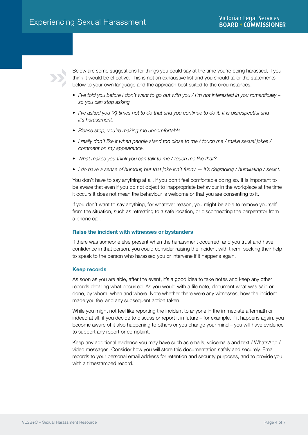

Below are some suggestions for things you could say at the time you're being harassed, if you think it would be effective. This is not an exhaustive list and you should tailor the statements below to your own language and the approach best suited to the circumstances:

- *• I've told you before I don't want to go out with you / I'm not interested in you romantically so you can stop asking.*
- *• I've asked you (X) times not to do that and you continue to do it. It is disrespectful and it's harassment.*
- *• Please stop, you're making me uncomfortable.*
- *• I really don't like it when people stand too close to me / touch me / make sexual jokes / comment on my appearance.*
- *• What makes you think you can talk to me / touch me like that?*
- *• I do have a sense of humour, but that joke isn't funny it's degrading / humiliating / sexist.*

You don't have to say anything at all, if you don't feel comfortable doing so. It is important to be aware that even if you do not object to inappropriate behaviour in the workplace at the time it occurs it does not mean the behaviour is welcome or that you are consenting to it.

If you don't want to say anything, for whatever reason, you might be able to remove yourself from the situation, such as retreating to a safe location, or disconnecting the perpetrator from a phone call.

# Raise the incident with witnesses or bystanders

If there was someone else present when the harassment occurred, and you trust and have confidence in that person, you could consider raising the incident with them, seeking their help to speak to the person who harassed you or intervene if it happens again.

## Keep records

As soon as you are able, after the event, it's a good idea to take notes and keep any other records detailing what occurred. As you would with a file note, document what was said or done, by whom, when and where. Note whether there were any witnesses, how the incident made you feel and any subsequent action taken.

While you might not feel like reporting the incident to anyone in the immediate aftermath or indeed at all, if you decide to discuss or report it in future – for example, if it happens again, you become aware of it also happening to others or you change your mind – you will have evidence to support any report or complaint.

Keep any additional evidence you may have such as emails, voicemails and text / WhatsApp / video messages. Consider how you will store this documentation safely and securely. Email records to your personal email address for retention and security purposes, and to provide you with a timestamped record.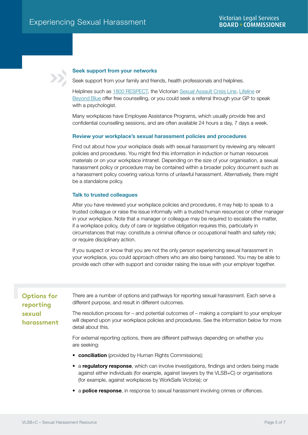# Seek support from your networks

Seek support from your family and friends, health professionals and helplines.

Helplines such as [1800 RESPECT,](https://www.1800respect.org.au/?gclid=EAIaIQobChMI2srNtpry7gIVENiWCh1Iaw-lEAAYASAAEgLzKPD_BwE) the [Victorian Sexual Assault Crisis Line](https://www.sacl.com.au/), [Lifeline](https://www.lifeline.org.au/) or [Beyond Blue](https://www.beyondblue.org.au/) offer free counselling, or you could seek a referral through your GP to speak with a psychologist.

Many workplaces have Employee Assistance Programs, which usually provide free and confidential counselling sessions, and are often available 24 hours a day, 7 days a week.

#### Review your workplace's sexual harassment policies and procedures

Find out about how your workplace deals with sexual harassment by reviewing any relevant policies and procedures. You might find this information in induction or human resources materials or on your workplace intranet. Depending on the size of your organisation, a sexual harassment policy or procedure may be contained within a broader policy document such as a harassment policy covering various forms of unlawful harassment. Alternatively, there might be a standalone policy.

#### Talk to trusted colleagues

After you have reviewed your workplace policies and procedures, it may help to speak to a trusted colleague or raise the issue informally with a trusted human resources or other manager in your workplace. Note that a manager or colleague may be required to escalate the matter, if a workplace policy, duty of care or legislative obligation requires this, particularly in circumstances that may: constitute a criminal offence or occupational health and safety risk; or require disciplinary action.

If you suspect or know that you are not the only person experiencing sexual harassment in your workplace, you could approach others who are also being harassed. You may be able to provide each other with support and consider raising the issue with your employer together.

# **Options for reporting sexual harassment**

There are a number of options and pathways for reporting sexual harassment. Each serve a different purpose, and result in different outcomes.

The resolution process for – and potential outcomes of – making a complaint to your employer will depend upon your workplace policies and procedures. See the information below for more detail about this.

For external reporting options, there are different pathways depending on whether you are seeking:

- conciliation (provided by Human Rights Commissions);
- a regulatory response, which can involve investigations, findings and orders being made against either individuals (for example, against lawyers by the VLSB+C) or organisations (for example, against workplaces by WorkSafe Victoria); or
- a **police response**, in response to sexual harassment involving crimes or offences.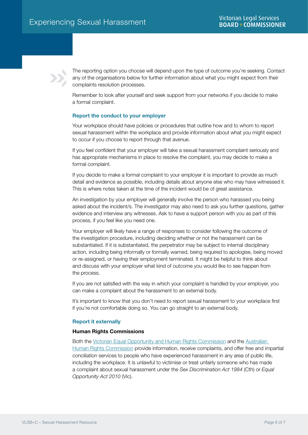The reporting option you choose will depend upon the type of outcome you're seeking. Contact any of the organisations below for further information about what you might expect from their complaints resolution processes.

Remember to look after yourself and seek support from your networks if you decide to make a formal complaint.

# Report the conduct to your employer

Your workplace should have policies or procedures that outline how and to whom to report sexual harassment within the workplace and provide information about what you might expect to occur if you choose to report through that avenue.

If you feel confident that your employer will take a sexual harassment complaint seriously and has appropriate mechanisms in place to resolve the complaint, you may decide to make a formal complaint.

If you decide to make a formal complaint to your employer it is important to provide as much detail and evidence as possible, including details about anyone else who may have witnessed it. This is where notes taken at the time of the incident would be of great assistance.

An investigation by your employer will generally involve the person who harassed you being asked about the incident/s. The investigator may also need to ask you further questions, gather evidence and interview any witnesses. Ask to have a support person with you as part of this process, if you feel like you need one.

Your employer will likely have a range of responses to consider following the outcome of the investigation procedure, including deciding whether or not the harassment can be substantiated. If it is substantiated, the perpetrator may be subject to internal disciplinary action, including being informally or formally warned, being required to apologise, being moved or re-assigned, or having their employment terminated. It might be helpful to think about and discuss with your employer what kind of outcome you would like to see happen from the process.

If you are not satisfied with the way in which your complaint is handled by your employer, you can make a complaint about the harassment to an external body.

It's important to know that you don't need to report sexual harassment to your workplace first if you're not comfortable doing so. You can go straight to an external body.

## Report it externally

## Human Rights Commissions

Both the [Victorian Equal Opportunity and Human Rights Commission](https://www.humanrights.vic.gov.au/) and the [Australian](https://humanrights.gov.au/)  [Human Rights Commission](https://humanrights.gov.au/) provide information, receive complaints, and offer free and impartial conciliation services to people who have experienced harassment in any area of public life, including the workplace. It is unlawful to victimise or treat unfairly someone who has made a complaint about sexual harassment under the *Sex Discrimination Act 1984* (Cth) or *Equal Opportunity Act 2010* (Vic).